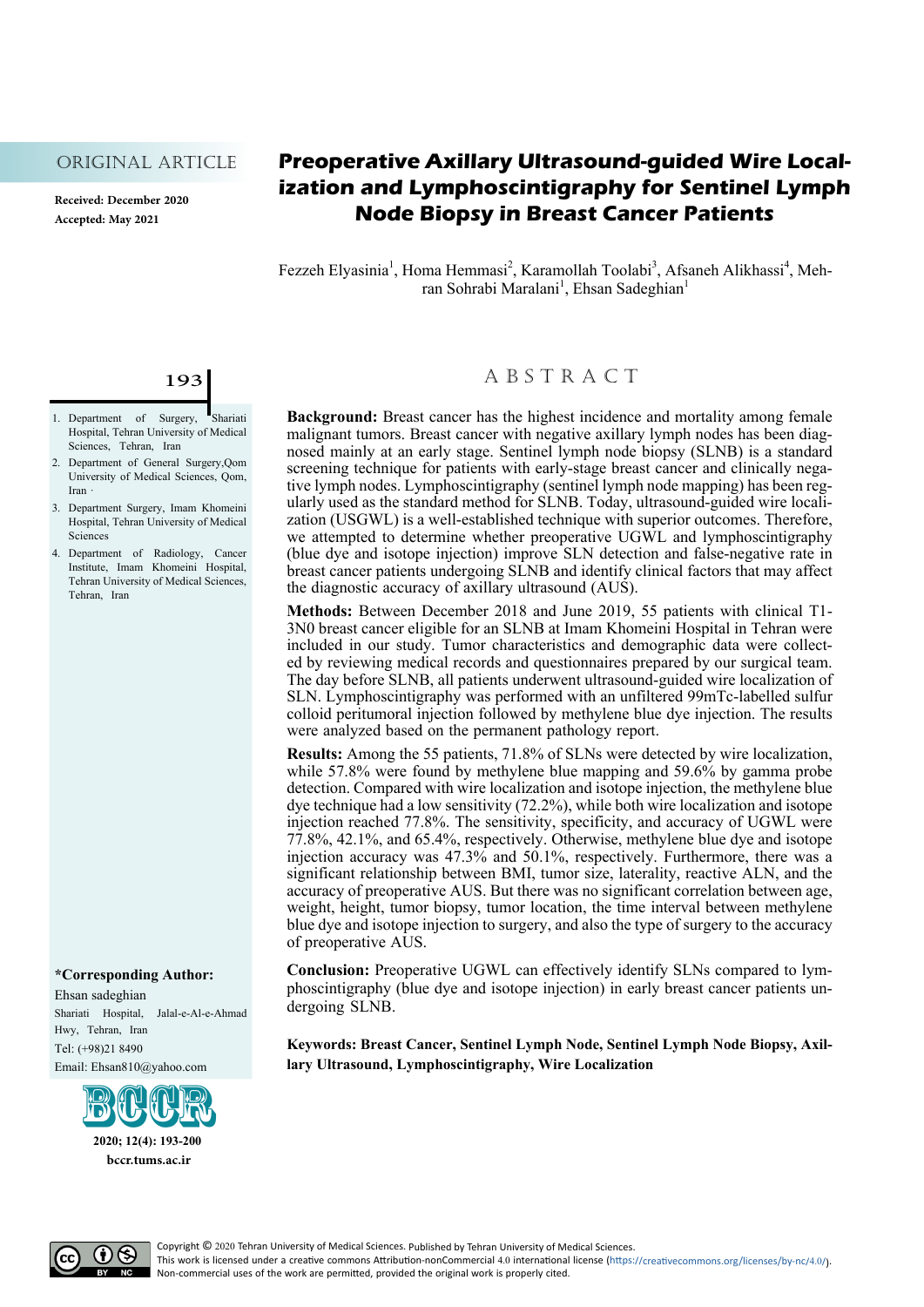#### Original Article

**Received: December 2020 Accepted: May 2021**

## **Preoperative Axillary Ultrasound-guided Wire Localization and Lymphoscintigraphy for Sentinel Lymph Node Biopsy in Breast Cancer Patients**

Fezzeh Elyasinia<sup>1</sup>, Homa Hemmasi<sup>2</sup>, Karamollah Toolabi<sup>3</sup>, Afsaneh Alikhassi<sup>4</sup>, Mehrabi Maralani<sup>1</sup>, Ehsan Sadeghian<sup>1</sup> ran Sohrabi Maralani<sup>1</sup>, Ehsan Sadeghian<sup>1</sup>

## 193

- 1. Department of Surgery, Shariati Hospital, Tehran University of Medical Sciences, Tehran, Iran
- 2. Department of General Surgery, Qom University of Medical Sciences, Qom, Iran ·
- 3. Department Surgery, Imam Khomeini Hospital, Tehran University of Medical **Sciences**
- 4. Department of Radiology, Cancer Institute, Imam Khomeini Hospital, Tehran University of Medical Sciences, Tehran, Iran

#### **\*Corresponding Author:**

Ehsan sadeghian Shariati Hospital, Jalal-e-Al-e-Ahmad Hwy, Tehran, Iran Tel: (+98)21 8490 Email: Ehsan810@yahoo.com



**2020; 12(4): 193-200 bccr.tums.ac.ir**

## A B S T R A C T

**Background:** Breast cancer has the highest incidence and mortality among female malignant tumors. Breast cancer with negative axillary lymph nodes has been diagmosed mainly at an early stage. Sentinel lymph node biopsy (SLNB) is a standard screening technique for patients with early-stage breast cancer and clinically negative lymph nodes. Lymphoscintigraphy (sentinel lymph node mapping) has been regularly used as the standard method for SLNB. Today, ultrasound-guided wire localization (USGWL) is a well-established technique with superior o we attempted to determine whether preoperative UGWL and lymphoscintigraphy (blue dye and isotope injection) improve SLN detection and false-negative rate in breast cancer patients undergoing SLNB and identify clinical factors that may affect the diagnostic accuracy of axillary ultrasound (AUS).

**Methods:** Between December 2018 and June 2019, 55 patients with clinical T1- 3N0 breast cancer eligible for an SLNB at Imam Khomeini Hospital in Tehran were ed by reviewing medical records and questionnaires prepared by our surgical team. The day before SLNB, all patients underwent ultrasound-guided wire localization of SLN. Lymphoscintigraphy was performed with an unfiltered 99mTc-labelled sulfur colloid peritumoral injection followed by methylene blue dye injection. The results were analyzed based on the permanent pathology report.

**Results:** Among the 55 patients, 71.8% of SLNs were detected by wire localization, while 57.8% were found by methylene blue mapping and 59.6% by gamma probe detection. Compared with wire localization and isotope injection, the methylene blue dye technique had a low sensitivity (72.2%), while both wire localization and isotope injection reached 77.8%. The sensitivity, specificity, and accuracy of UGWL were 77.8%, 42.1%, and 65.4%, respectively. Otherwise, methylene blue dye and isotope injection accuracy was 47.3% and 50.1%, respectively. Furthermore, there was a significant relationship between BMI, tumor size, laterality, reactive ALN, and the accuracy of preoperative AUS. But there was no significant correlation between age, weight, height, tumor biopsy, tumor location, the time interval between methylene blue dye and isotope injection to surgery, and also the type of surgery to the accuracy of preoperative AUS.

**Conclusion:** Preoperative UGWL can effectively identify SLNs compared to lym-<br>phoscintigraphy (blue dye and isotope injection) in early breast cancer patients un-<br>dergoing SLNB.

**Keywords: Breast Cancer, Sentinel Lymph Node, Sentinel Lymph Node Biopsy, Axillary Ultrasound, Lymphoscintigraphy, Wire Localization**

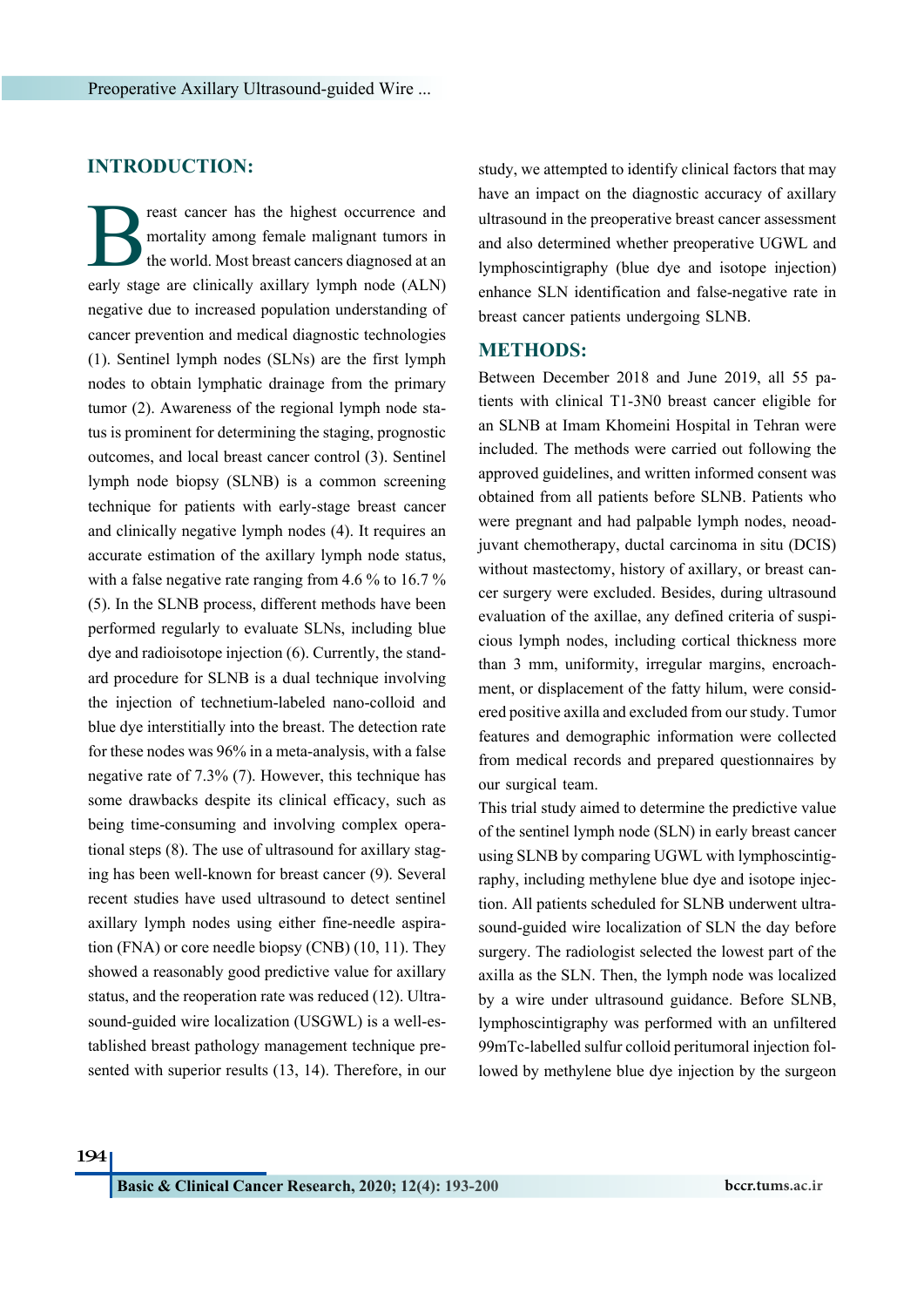## **INTRODUCTION:**

Freast cancer has the highest occurrence and mortality among female malignant tumors in the world. Most breast cancers diagnosed at an early stage are clinically axillary lymph node (ALN) mortality among female malignant tumors in the world. Most breast cancers diagnosed at an negative due to increased population understanding of cancer prevention and medical diagnostic technologies [\(1](#page-6-0)). Sentinel lymph nodes (SLNs) are the first lymph nodes to obtain lymphatic drainage from the primary tumor ([2\)](#page-6-1). Awareness of the regional lymph node status is prominent for determining the staging, prognostic outcomes, and local breast cancer control ([3](#page-6-2)). Sentinel lymph node biopsy (SLNB) is a common screening technique for patients with early-stage breast cancer and clinically negative lymph nodes ([4\)](#page-6-3). It requires an accurate estimation of the axillary lymph node status, with a false negative rate ranging from 4.6 % to 16.7 % [\(5](#page-6-4)). In the SLNB process, different methods have been performed regularly to evaluate SLNs, including blue dye and radioisotope injection [\(6](#page-6-5)). Currently, the standard procedure for SLNB is a dual technique involving the injection of technetium-labeled nano-colloid and blue dye interstitially into the breast. The detection rate for these nodes was 96% in a meta-analysis, with a false negative rate of 7.3% ([7\)](#page-6-6). However, this technique has some drawbacks despite its clinical efficacy, such as being time-consuming and involving complex operational steps [\(8](#page-6-7)). The use of ultrasound for axillary staging has been well-known for breast cancer ([9](#page-6-8)). Several recent studies have used ultrasound to detect sentinel axillary lymph nodes using either fine-needle aspiration (FNA) or core needle biopsy (CNB) ([10](#page-6-9), [11](#page-6-10)). They showed a reasonably good predictive value for axillary status, and the reoperation rate was reduced ([12](#page-6-11)). Ultrasound-guided wire localization (USGWL) is a well-established breast pathology management technique presented with superior results ([13,](#page-6-12) [14](#page-6-13)). Therefore, in our study, we attempted to identify clinical factors that may have an impact on the diagnostic accuracy of axillary ultrasound in the preoperative breast cancer assessment and also determined whether preoperative UGWL and lymphoscintigraphy (blue dye and isotope injection) enhance SLN identification and false-negative rate in breast cancer patients undergoing SLNB.

## **METHODS:**

Between December 2018 and June 2019, all 55 patients with clinical T1-3N0 breast cancer eligible for an SLNB at Imam Khomeini Hospital in Tehran were included. The methods were carried out following the approved guidelines, and written informed consent was obtained from all patients before SLNB. Patients who were pregnant and had palpable lymph nodes, neoadjuvant chemotherapy, ductal carcinoma in situ (DCIS) without mastectomy, history of axillary, or breast cancer surgery were excluded. Besides, during ultrasound evaluation of the axillae, any defined criteria of suspicious lymph nodes, including cortical thickness more than 3 mm, uniformity, irregular margins, encroachment, or displacement of the fatty hilum, were considered positive axilla and excluded from our study. Tumor features and demographic information were collected from medical records and prepared questionnaires by our surgical team.

This trial study aimed to determine the predictive value of the sentinel lymph node (SLN) in early breast cancer using SLNB by comparing UGWL with lymphoscintigraphy, including methylene blue dye and isotope injection. All patients scheduled for SLNB underwent ultrasound-guided wire localization of SLN the day before surgery. The radiologist selected the lowest part of the axilla as the SLN. Then, the lymph node was localized by a wire under ultrasound guidance. Before SLNB, lymphoscintigraphy was performed with an unfiltered 99mTc-labelled sulfur colloid peritumoral injection followed by methylene blue dye injection by the surgeon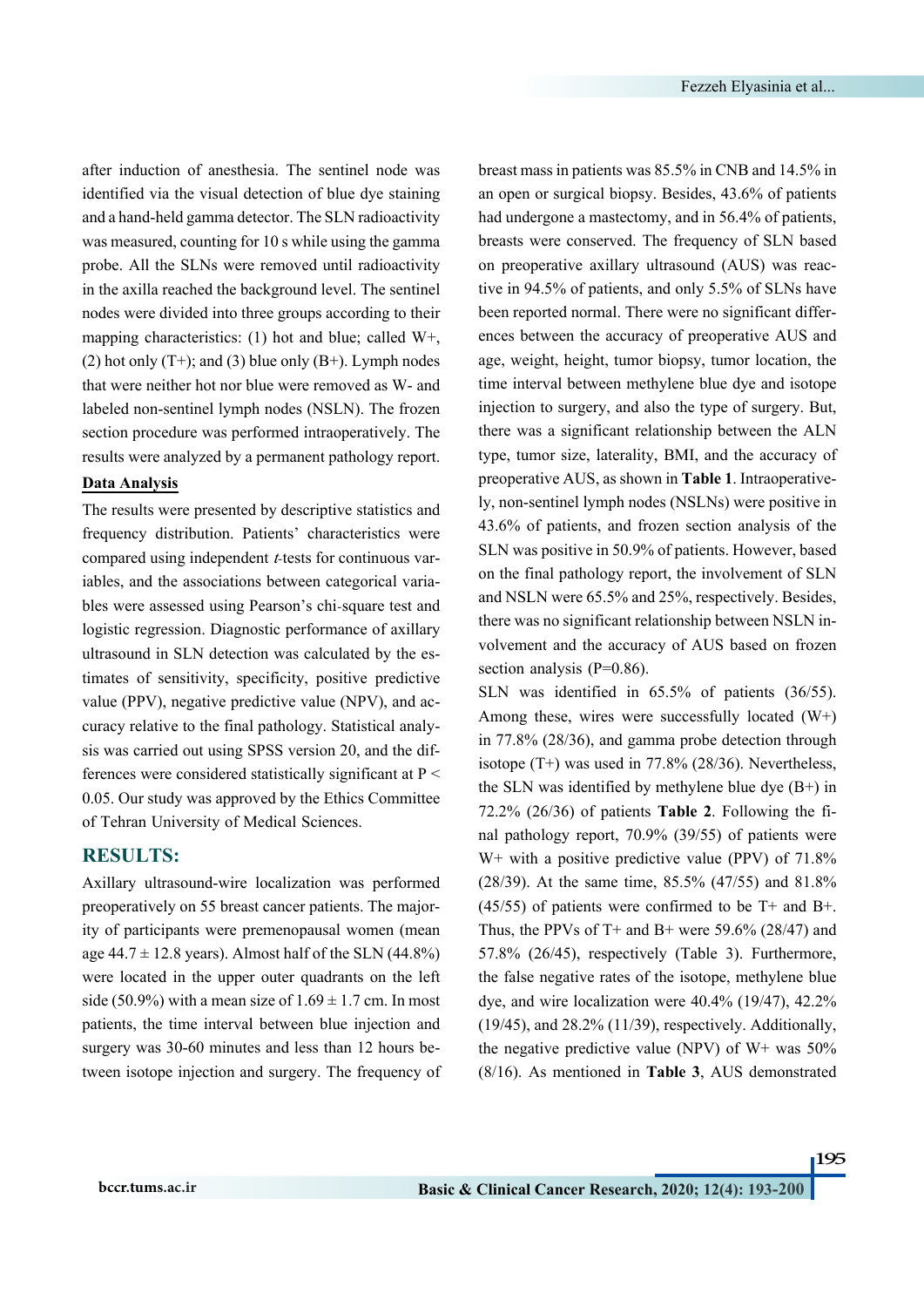after induction of anesthesia. The sentinel node was identified via the visual detection of blue dye staining and a hand-held gamma detector. The SLN radioactivity was measured, counting for 10 s while using the gamma probe. All the SLNs were removed until radioactivity in the axilla reached the background level. The sentinel nodes were divided into three groups according to their mapping characteristics: (1) hot and blue; called W+, (2) hot only  $(T+)$ ; and (3) blue only  $(B+)$ . Lymph nodes that were neither hot nor blue were removed as W- and labeled non-sentinel lymph nodes (NSLN). The frozen section procedure was performed intraoperatively. The results were analyzed by a permanent pathology report.

#### **Data Analysis**

The results were presented by descriptive statistics and frequency distribution. Patients' characteristics were compared using independent *t*-tests for continuous variables, and the associations between categorical variables were assessed using Pearson's chi‐square test and logistic regression. Diagnostic performance of axillary ultrasound in SLN detection was calculated by the estimates of sensitivity, specificity, positive predictive value (PPV), negative predictive value (NPV), and accuracy relative to the final pathology. Statistical analysis was carried out using SPSS version 20, and the differences were considered statistically significant at P < 0.05. Our study was approved by the Ethics Committee of Tehran University of Medical Sciences.

## **RESULTS:**

Axillary ultrasound-wire localization was performed preoperatively on 55 breast cancer patients. The majority of participants were premenopausal women (mean age  $44.7 \pm 12.8$  years). Almost half of the SLN (44.8%) were located in the upper outer quadrants on the left side (50.9%) with a mean size of  $1.69 \pm 1.7$  cm. In most patients, the time interval between blue injection and surgery was 30-60 minutes and less than 12 hours between isotope injection and surgery. The frequency of breast mass in patients was 85.5% in CNB and 14.5% in an open or surgical biopsy. Besides, 43.6% of patients had undergone a mastectomy, and in 56.4% of patients, breasts were conserved. The frequency of SLN based on preoperative axillary ultrasound (AUS) was reactive in 94.5% of patients, and only 5.5% of SLNs have been reported normal. There were no significant differences between the accuracy of preoperative AUS and age, weight, height, tumor biopsy, tumor location, the time interval between methylene blue dye and isotope injection to surgery, and also the type of surgery. But, there was a significant relationship between the ALN type, tumor size, laterality, BMI, and the accuracy of preoperative AUS, as shown in **[Table 1](#page-3-0)**. Intraoperatively, non-sentinel lymph nodes (NSLNs) were positive in 43.6% of patients, and frozen section analysis of the SLN was positive in 50.9% of patients. However, based on the final pathology report, the involvement of SLN and NSLN were 65.5% and 25%, respectively. Besides, there was no significant relationship between NSLN involvement and the accuracy of AUS based on frozen section analysis (P=0.86).

SLN was identified in 65.5% of patients (36/55). Among these, wires were successfully located (W+) in 77.8% (28/36), and gamma probe detection through isotope (T+) was used in 77.8% (28/36). Nevertheless, the SLN was identified by methylene blue dye  $(B+)$  in 72.2% (26/36) of patients **[Table 2](#page-4-0)**. Following the final pathology report, 70.9% (39/55) of patients were  $W^+$  with a positive predictive value (PPV) of 71.8% (28/39). At the same time, 85.5% (47/55) and 81.8%  $(45/55)$  of patients were confirmed to be T+ and B+. Thus, the PPVs of T+ and B+ were 59.6% (28/47) and 57.8% (26/45), respectively ([Table 3\)](#page-4-1). Furthermore, the false negative rates of the isotope, methylene blue dye, and wire localization were 40.4% (19/47), 42.2% (19/45), and 28.2% (11/39), respectively. Additionally, the negative predictive value (NPV) of  $W<sup>+</sup>$  was 50% (8/16). As mentioned in **[Table 3](#page-4-1)**, AUS demonstrated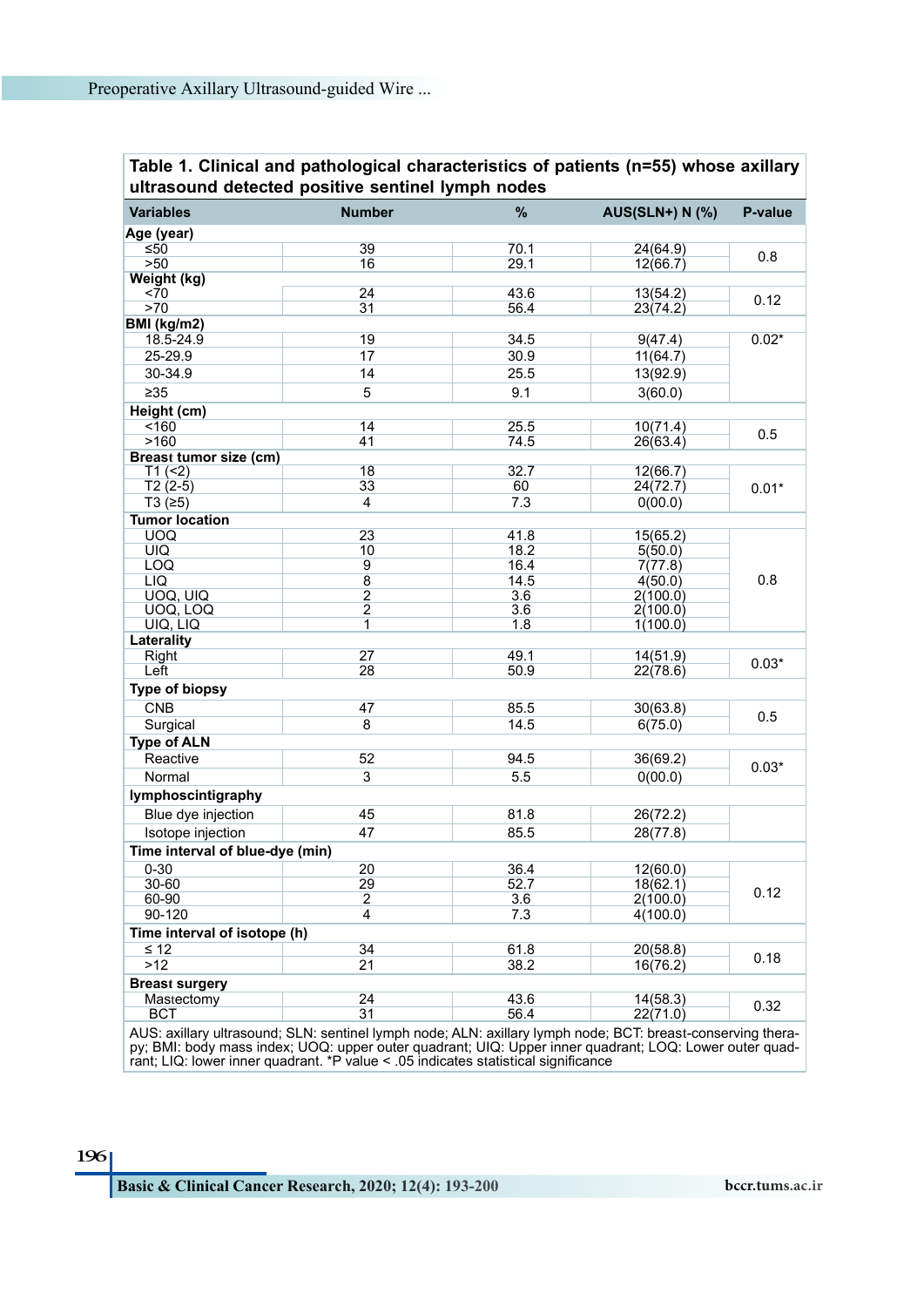<span id="page-3-0"></span>**Table 1. Clinical and pathological characteristics of patients (n=55) whose axillary ultrasound detected positive sentinel lymph nodes**

| <b>Variables</b>                                                                                            | <b>Number</b>       | %    | <b>AUS(SLN+) N (%)</b> | P-value |  |  |  |
|-------------------------------------------------------------------------------------------------------------|---------------------|------|------------------------|---------|--|--|--|
| Age (year)                                                                                                  |                     |      |                        |         |  |  |  |
| ≤50                                                                                                         | 39                  | 70.1 | 24(64.9)               | 0.8     |  |  |  |
| >50                                                                                                         | 16                  | 29.1 | 12(66.7)               |         |  |  |  |
| Weight (kg)                                                                                                 |                     |      |                        |         |  |  |  |
| <70                                                                                                         | 24                  | 43.6 | 13(54.2)               | 0.12    |  |  |  |
| >70                                                                                                         | 31                  | 56.4 | 23(74.2)               |         |  |  |  |
| BMI (kg/m2)                                                                                                 |                     |      |                        |         |  |  |  |
| 18.5-24.9                                                                                                   | 19                  | 34.5 | 9(47.4)                | $0.02*$ |  |  |  |
| 25-29.9                                                                                                     | 17                  | 30.9 | 11(64.7)               |         |  |  |  |
| 30-34.9                                                                                                     | 14                  | 25.5 | 13(92.9)               |         |  |  |  |
| $\geq 35$                                                                                                   | 5                   | 9.1  | 3(60.0)                |         |  |  |  |
| Height (cm)                                                                                                 |                     |      |                        |         |  |  |  |
| < 160                                                                                                       | 14                  | 25.5 | 10(71.4)               |         |  |  |  |
| >160                                                                                                        | 41                  | 74.5 | 26(63.4)               | 0.5     |  |  |  |
| <b>Breast tumor size (cm)</b>                                                                               |                     |      |                        |         |  |  |  |
| T1 (2)                                                                                                      | 18                  | 32.7 | 12(66.7)               |         |  |  |  |
| $T2(2-5)$                                                                                                   | 33                  | 60   | 24(72.7)               | $0.01*$ |  |  |  |
| T3(≥5)                                                                                                      | $\overline{4}$      | 7.3  | 0(00.0)                |         |  |  |  |
| <b>Tumor location</b>                                                                                       |                     |      |                        |         |  |  |  |
| <b>UOQ</b>                                                                                                  | 23                  | 41.8 | 15(65.2)               |         |  |  |  |
| <b>UIQ</b>                                                                                                  | 10                  | 18.2 | 5(50.0)                |         |  |  |  |
| LOQ                                                                                                         | 9                   | 16.4 | 7(77.8)                |         |  |  |  |
| LIQ                                                                                                         | $\overline{8}$      | 14.5 | 4(50.0)                | 0.8     |  |  |  |
| UOQ, UIQ                                                                                                    | $\overline{2}$      | 3.6  | 2(100.0)               |         |  |  |  |
| UOQ, LOQ<br>UIQ, LIQ                                                                                        | $\overline{c}$<br>1 | 3.6  | 2(100.0)               |         |  |  |  |
|                                                                                                             |                     | 1.8  | 1(100.0)               |         |  |  |  |
| Laterality<br>Right                                                                                         | 27                  | 49.1 | 14(51.9)               |         |  |  |  |
| Left                                                                                                        | 28                  | 50.9 | 22(78.6)               | $0.03*$ |  |  |  |
|                                                                                                             |                     |      |                        |         |  |  |  |
| <b>Type of biopsy</b>                                                                                       |                     |      |                        |         |  |  |  |
| <b>CNB</b>                                                                                                  | 47                  | 85.5 | 30(63.8)               | 0.5     |  |  |  |
| Surgical                                                                                                    | 8                   | 14.5 | 6(75.0)                |         |  |  |  |
| <b>Type of ALN</b>                                                                                          |                     |      |                        |         |  |  |  |
| Reactive                                                                                                    | 52                  | 94.5 | 36(69.2)               | $0.03*$ |  |  |  |
| Normal                                                                                                      | 3                   | 5.5  | 0(00.0)                |         |  |  |  |
| lymphoscintigraphy                                                                                          |                     |      |                        |         |  |  |  |
| Blue dye injection                                                                                          | 45                  | 81.8 | 26(72.2)               |         |  |  |  |
| Isotope injection                                                                                           | 47                  | 85.5 | 28(77.8)               |         |  |  |  |
|                                                                                                             |                     |      |                        |         |  |  |  |
| Time interval of blue-dye (min)                                                                             |                     |      |                        |         |  |  |  |
| $0 - 30$                                                                                                    | 20                  | 36.4 | 12(60.0)               |         |  |  |  |
| 30-60                                                                                                       | 29                  | 52.7 | 18(62.1)               | 0.12    |  |  |  |
| 60-90                                                                                                       | $\overline{c}$      | 3.6  | 2(100.0)               |         |  |  |  |
| 90-120                                                                                                      | 4                   | 7.3  | 4(100.0)               |         |  |  |  |
| Time interval of isotope (h)                                                                                |                     |      |                        |         |  |  |  |
| $\leq 12$                                                                                                   | 34                  | 61.8 | 20(58.8)               | 0.18    |  |  |  |
| $>12$                                                                                                       | 21                  | 38.2 | 16(76.2)               |         |  |  |  |
| <b>Breast surgery</b>                                                                                       |                     |      |                        |         |  |  |  |
| Mastectomy                                                                                                  | 24                  | 43.6 | 14(58.3)               | 0.32    |  |  |  |
| <b>BCT</b>                                                                                                  | 31                  | 56.4 | 22(71.0)               |         |  |  |  |
| AUS: axillary ultrasound; SLN: sentinel lymph node; ALN: axillary lymph node; BCT: breast-conserving thera- |                     |      |                        |         |  |  |  |

AUS: axillary ultrasound; SLN: sentinel lymph node; ALN: axillary lymph node; BCT: breast-conserving therapy; BMI: body mass index; UOQ: upper outer quadrant; UIQ: Upper inner quadrant; LOQ: Lower outer quadrant; LIQ: lower inner quadrant. \*P value < .05 indicates statistical significance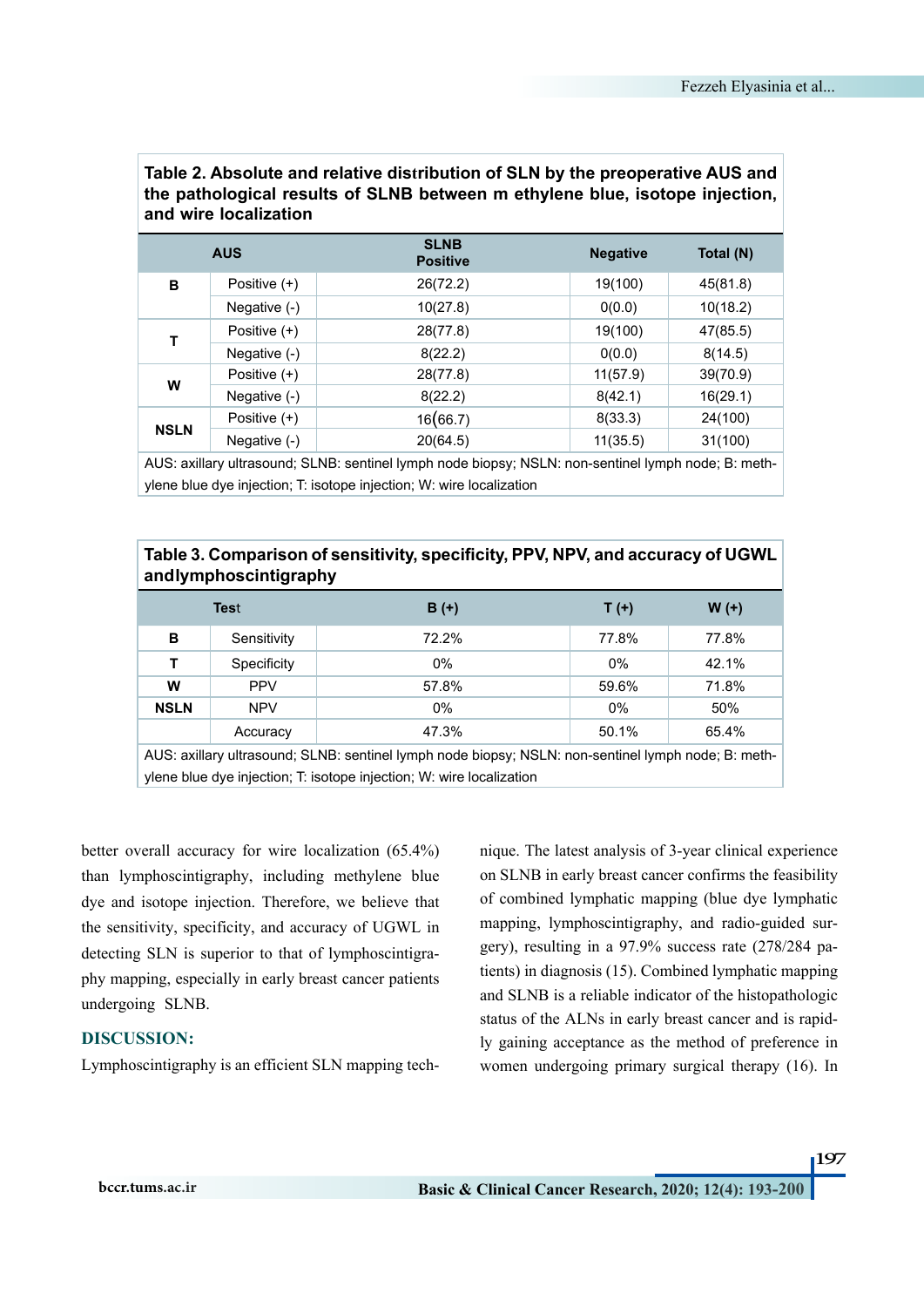| and wire localization |                |                                |                 |           |  |  |
|-----------------------|----------------|--------------------------------|-----------------|-----------|--|--|
|                       | <b>AUS</b>     | <b>SLNB</b><br><b>Positive</b> | <b>Negative</b> | Total (N) |  |  |
| в                     | Positive (+)   | 26(72.2)                       | 19(100)         | 45(81.8)  |  |  |
|                       | Negative (-)   | 10(27.8)                       | 0(0.0)          | 10(18.2)  |  |  |
| T                     | Positive $(+)$ | 28(77.8)                       | 19(100)         | 47(85.5)  |  |  |
|                       | Negative (-)   | 8(22.2)                        | 0(0.0)          | 8(14.5)   |  |  |
| W                     | Positive (+)   | 28(77.8)                       | 11(57.9)        | 39(70.9)  |  |  |
|                       | Negative (-)   | 8(22.2)                        | 8(42.1)         | 16(29.1)  |  |  |
| <b>NSLN</b>           | Positive (+)   | 16(66.7)                       | 8(33.3)         | 24(100)   |  |  |
|                       | Negative (-)   | 20(64.5)                       | 11(35.5)        | 31(100)   |  |  |
| $\cdots$              |                | .<br>$\cdots$                  |                 |           |  |  |

# <span id="page-4-0"></span>**Table 2. Absolute and relative distribution of SLN by the preoperative AUS and the pathological results of SLNB between m ethylene blue, isotope injection,**

AUS: axillary ultrasound; SLNB: sentinel lymph node biopsy; NSLN: non-sentinel lymph node; B: methylene blue dye injection; T: isotope injection; W: wire localization

## <span id="page-4-1"></span>**Table 3. Comparison of sensitivity, specificity, PPV, NPV, and accuracy of UGWL and lymphoscintigraphy**

|                                                                                                                                                    | <b>Test</b> | $B (+)$ | T(t)  | $W(+)$ |  |
|----------------------------------------------------------------------------------------------------------------------------------------------------|-------------|---------|-------|--------|--|
| в                                                                                                                                                  | Sensitivity | 72.2%   | 77.8% | 77.8%  |  |
|                                                                                                                                                    | Specificity | $0\%$   | 0%    | 42.1%  |  |
| w                                                                                                                                                  | <b>PPV</b>  | 57.8%   | 59.6% | 71.8%  |  |
| <b>NSLN</b>                                                                                                                                        | <b>NPV</b>  | $0\%$   | 0%    | 50%    |  |
|                                                                                                                                                    | Accuracy    | 47.3%   | 50.1% | 65.4%  |  |
| $\mathbf{A} \cup \mathbf{O}$ . The set of $\mathbf{O}$ is the set of the set of $\mathbf{O}$ is the set of $\mathbf{O}$ is the set of $\mathbf{O}$ |             |         |       |        |  |

AUS: axillary ultrasound; SLNB: sentinel lymph node biopsy; NSLN: non-sentinel lymph node; B: methylene blue dye injection; T: isotope injection; W: wire localization

better overall accuracy for wire localization (65.4%) than lymphoscintigraphy, including methylene blue dye and isotope injection. Therefore, we believe that the sensitivity, specificity, and accuracy of UGWL in detecting SLN is superior to that of lymphoscintigraphy mapping, especially in early breast cancer patients undergoing SLNB.

## **DISCUSSION:**

Lymphoscintigraphy is an efficient SLN mapping tech-

nique. The latest analysis of 3-year clinical experience on SLNB in early breast cancer confirms the feasibility of combined lymphatic mapping (blue dye lymphatic mapping, lymphoscintigraphy, and radio-guided surgery), resulting in a 97.9% success rate (278/284 patients) in diagnosis [\(15](#page-6-14)). Combined lymphatic mapping and SLNB is a reliable indicator of the histopathologic status of the ALNs in early breast cancer and is rapidly gaining acceptance as the method of preference in women undergoing primary surgical therapy [\(16\)](#page-6-15). In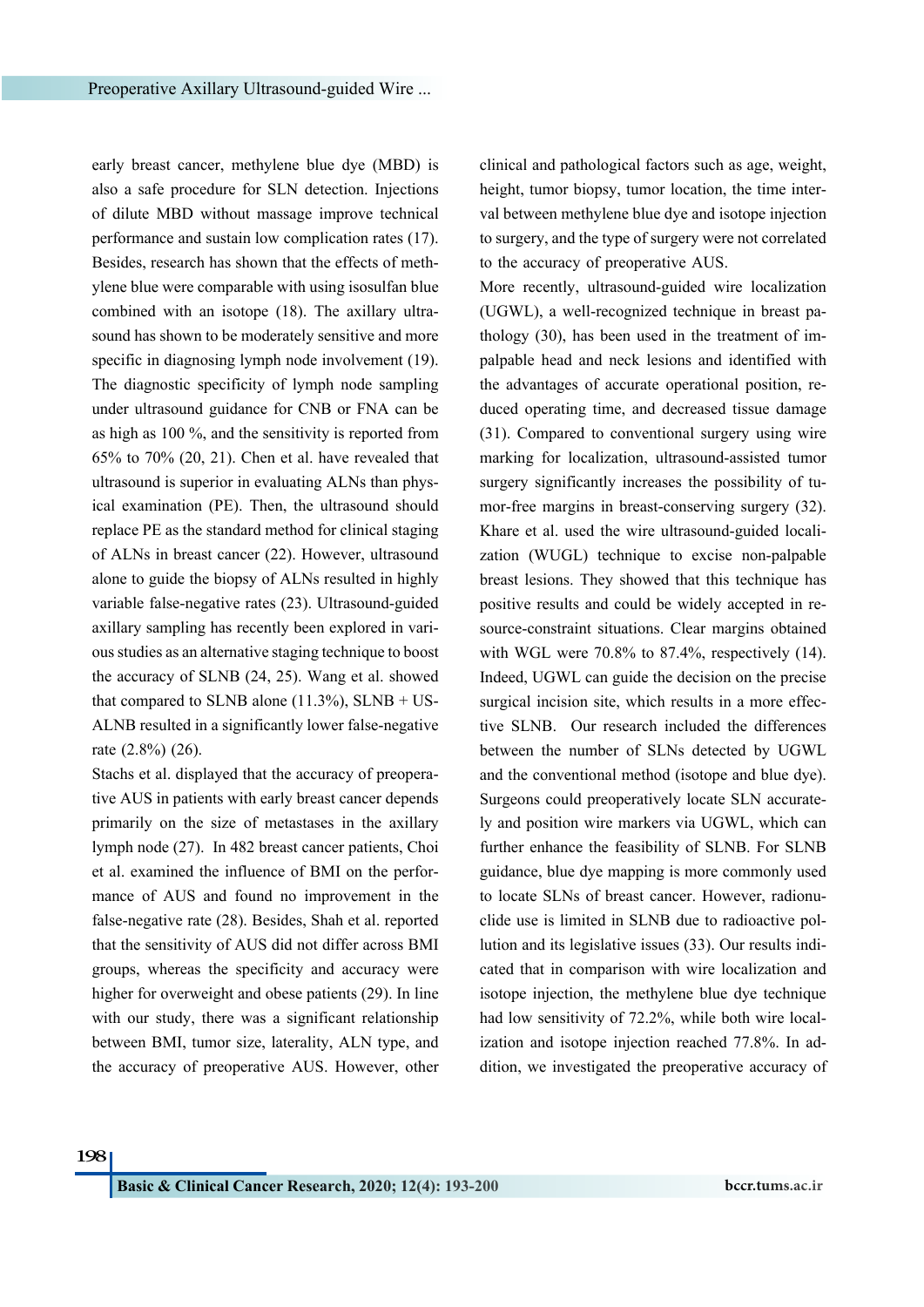early breast cancer, methylene blue dye (MBD) is also a safe procedure for SLN detection. Injections of dilute MBD without massage improve technical performance and sustain low complication rates [\(17\)](#page-6-16). Besides, research has shown that the effects of methylene blue were comparable with using isosulfan blue combined with an isotope [\(18\)](#page-6-17). The axillary ultrasound has shown to be moderately sensitive and more specific in diagnosing lymph node involvement [\(19\)](#page-6-18). The diagnostic specificity of lymph node sampling under ultrasound guidance for CNB or FNA can be as high as 100 %, and the sensitivity is reported from 65% to 70% [\(20,](#page-7-0) [21](#page-7-1)). Chen et al. have revealed that ultrasound is superior in evaluating ALNs than physical examination (PE). Then, the ultrasound should replace PE as the standard method for clinical staging of ALNs in breast cancer [\(22\)](#page-7-2). However, ultrasound alone to guide the biopsy of ALNs resulted in highly variable false-negative rates ([23\)](#page-7-3). Ultrasound-guided axillary sampling has recently been explored in various studies as an alternative staging technique to boost the accuracy of SLNB ([24](#page-7-4), [25\)](#page-7-5). Wang et al. showed that compared to SLNB alone  $(11.3\%)$ , SLNB + US-ALNB resulted in a significantly lower false-negative rate (2.8%) ([26](#page-7-6)).

Stachs et al. displayed that the accuracy of preoperative AUS in patients with early breast cancer depends primarily on the size of metastases in the axillary lymph node [\(27\)](#page-7-7). In 482 breast cancer patients, Choi et al. examined the influence of BMI on the performance of AUS and found no improvement in the false-negative rate ([28](#page-7-8)). Besides, Shah et al. reported that the sensitivity of AUS did not differ across BMI groups, whereas the specificity and accuracy were higher for overweight and obese patients [\(29\)](#page-7-9). In line with our study, there was a significant relationship between BMI, tumor size, laterality, ALN type, and the accuracy of preoperative AUS. However, other clinical and pathological factors such as age, weight, height, tumor biopsy, tumor location, the time interval between methylene blue dye and isotope injection to surgery, and the type of surgery were not correlated to the accuracy of preoperative AUS.

More recently, ultrasound-guided wire localization (UGWL), a well-recognized technique in breast pathology [\(30\)](#page-7-10), has been used in the treatment of impalpable head and neck lesions and identified with the advantages of accurate operational position, reduced operating time, and decreased tissue damage ([31](#page-7-11)). Compared to conventional surgery using wire marking for localization, ultrasound-assisted tumor surgery significantly increases the possibility of tumor-free margins in breast-conserving surgery [\(32\)](#page-7-12). Khare et al. used the wire ultrasound-guided localization (WUGL) technique to excise non-palpable breast lesions. They showed that this technique has positive results and could be widely accepted in resource-constraint situations. Clear margins obtained with WGL were 70.8% to 87.4%, respectively [\(14\)](#page-6-13). Indeed, UGWL can guide the decision on the precise surgical incision site, which results in a more effective SLNB. Our research included the differences between the number of SLNs detected by UGWL and the conventional method (isotope and blue dye). Surgeons could preoperatively locate SLN accurately and position wire markers via UGWL, which can further enhance the feasibility of SLNB. For SLNB guidance, blue dye mapping is more commonly used to locate SLNs of breast cancer. However, radionuclide use is limited in SLNB due to radioactive pollution and its legislative issues [\(33\)](#page-7-13). Our results indicated that in comparison with wire localization and isotope injection, the methylene blue dye technique had low sensitivity of 72.2%, while both wire localization and isotope injection reached 77.8%. In addition, we investigated the preoperative accuracy of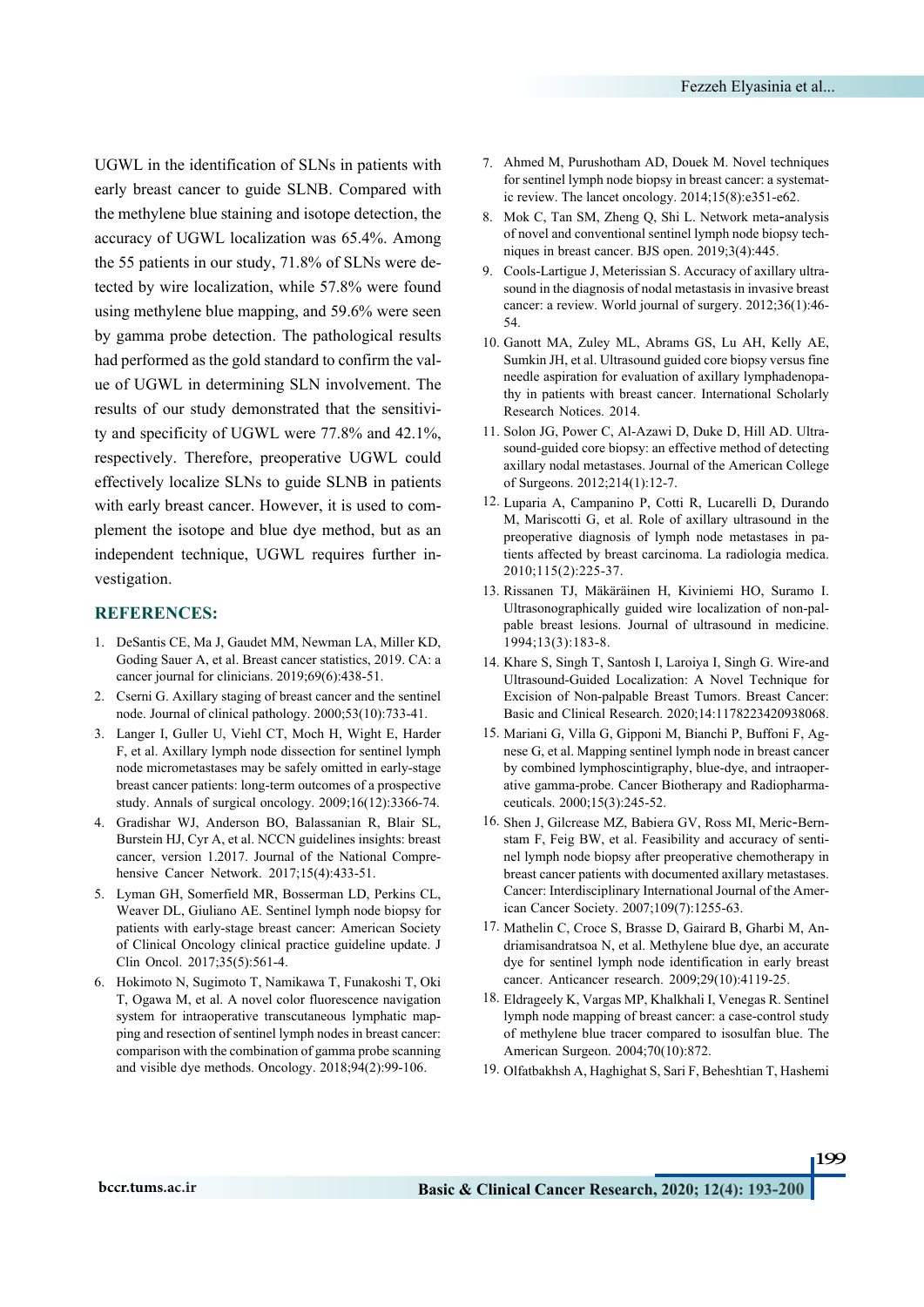UGWL in the identification of SLNs in patients with early breast cancer to guide SLNB. Compared with the methylene blue staining and isotope detection, the accuracy of UGWL localization was 65.4%. Among the 55 patients in our study, 71.8% of SLNs were detected by wire localization, while 57.8% were found using methylene blue mapping, and 59.6% were seen by gamma probe detection. The pathological results had performed as the gold standard to confirm the value of UGWL in determining SLN involvement. The results of our study demonstrated that the sensitivity and specificity of UGWL were 77.8% and 42.1%, respectively. Therefore, preoperative UGWL could effectively localize SLNs to guide SLNB in patients with early breast cancer. However, it is used to complement the isotope and blue dye method, but as an independent technique, UGWL requires further investigation.

#### **REFERENCES:**

- <span id="page-6-0"></span>1. DeSantis CE, Ma J, Gaudet MM, Newman LA, Miller KD, Goding Sauer A, et al. Breast cancer statistics, 2019. CA: a cancer journal for clinicians. 2019;69(6):438-51.
- <span id="page-6-1"></span>2. Cserni G. Axillary staging of breast cancer and the sentinel node. Journal of clinical pathology. 2000;53(10):733-41.
- <span id="page-6-2"></span>3. Langer I, Guller U, Viehl CT, Moch H, Wight E, Harder F, et al. Axillary lymph node dissection for sentinel lymph node micrometastases may be safely omitted in early-stage breast cancer patients: long-term outcomes of a prospective study. Annals of surgical oncology. 2009;16(12):3366-74.
- <span id="page-6-3"></span>4. Gradishar WJ, Anderson BO, Balassanian R, Blair SL, Burstein HJ, Cyr A, et al. NCCN guidelines insights: breast cancer, version 1.2017. Journal of the National Comprehensive Cancer Network. 2017;15(4):433-51.
- <span id="page-6-4"></span>5. Lyman GH, Somerfield MR, Bosserman LD, Perkins CL, Weaver DL, Giuliano AE. Sentinel lymph node biopsy for patients with early-stage breast cancer: American Society of Clinical Oncology clinical practice guideline update. J Clin Oncol. 2017;35(5):561-4.
- <span id="page-6-5"></span>6. Hokimoto N, Sugimoto T, Namikawa T, Funakoshi T, Oki T, Ogawa M, et al. A novel color fluorescence navigation system for intraoperative transcutaneous lymphatic mapping and resection of sentinel lymph nodes in breast cancer: comparison with the combination of gamma probe scanning and visible dye methods. Oncology. 2018;94(2):99-106.
- <span id="page-6-6"></span>Ahmed M, Purushotham AD, Douek M. Novel techniques 7. for sentinel lymph node biopsy in breast cancer: a systematic review. The lancet oncology. 2014;15(8):e351-e62.
- <span id="page-6-7"></span>8. Mok C, Tan SM, Zheng Q, Shi L. Network meta-analysis of novel and conventional sentinel lymph node biopsy techniques in breast cancer. BJS open. 2019;3(4):445.
- <span id="page-6-8"></span>sound in the diagnosis of nodal metastasis in invasive breast cancer: a review. World journal of surgery. 2012;36(1):46- 54. 9. Cools-Lartigue J, Meterissian S. Accuracy of axillary ultra-
- <span id="page-6-9"></span>Ganott MA, Zuley ML, Abrams GS, Lu AH, Kelly AE, 10. Sumkin JH, et al. Ultrasound guided core biopsy versus fine needle aspiration for evaluation of axillary lymphadenopa- thy in patients with breast cancer. International Scholarly Research Notices. 2014.
- <span id="page-6-10"></span>sound-guided core biopsy: an effective method of detecting axillary nodal metastases. Journal of the American College of Surgeons. 2012;214(1):12-7. 11. Solon JG, Power C, Al-Azawi D, Duke D, Hill AD. Ultra-
- <span id="page-6-11"></span>Luparia A, Campanino P, Cotti R, Lucarelli D, Durando 12. M, Mariscotti G, et al. Role of axillary ultrasound in the preoperative diagnosis of lymph node metastases in patients affected by breast carcinoma. La radiologia medica. 2010;115(2):225-37.
- <span id="page-6-12"></span>13. Rissanen TJ, Mäkäräinen H, Kiviniemi HO, Suramo I. Ultrasonographically guided wire localization of non-palpable breast lesions. Journal of ultrasound in medicine. 1994;13(3):183-8.
- <span id="page-6-13"></span>14. Khare S, Singh T, Santosh I, Laroiya I, Singh G. Wire-and Ultrasound-Guided Localization: A Novel Technique for Excision of Non-palpable Breast Tumors. Breast Cancer: Basic and Clinical Research. 2020;14:1178223420938068.
- <span id="page-6-14"></span>15. Mariani G, Villa G, Gipponi M, Bianchi P, Buffoni F, Agnese G, et al. Mapping sentinel lymph node in breast cancer by combined lymphoscintigraphy, blue-dye, and intraoperative gamma-probe. Cancer Biotherapy and Radiopharmaceuticals. 2000;15(3):245-52.
- <span id="page-6-15"></span>16. Shen J, Gilcrease MZ, Babiera GV, Ross MI, Meric-Bern-<br>stam F, Feig BW, et al. Feasibility and accuracy of senti-<br>nel lymph node biopsy after preoperative chemotherapy in breast cancer patients with documented axillary metastases. Cancer: Interdisciplinary International Journal of the Amer- ican Cancer Society. 2007;109(7):1255-63.
- <span id="page-6-16"></span>17. Mathelin C, Croce S, Brasse D, Gairard B, Gharbi M, Andriamisandratsoa N, et al. Methylene blue dye, an accurate dye for sentinel lymph node identification in early breast cancer. Anticancer research. 2009;29(10):4119-25.
- <span id="page-6-17"></span>Eldrageely K, Vargas MP, Khalkhali I, Venegas R. Sentinel 18. lymph node mapping of breast cancer: a case-control study of methylene blue tracer compared to isosulfan blue. The American Surgeon. 2004;70(10):872.
- <span id="page-6-18"></span>Olfatbakhsh A, Haghighat S, Sari F, Beheshtian T, Hashemi 19.